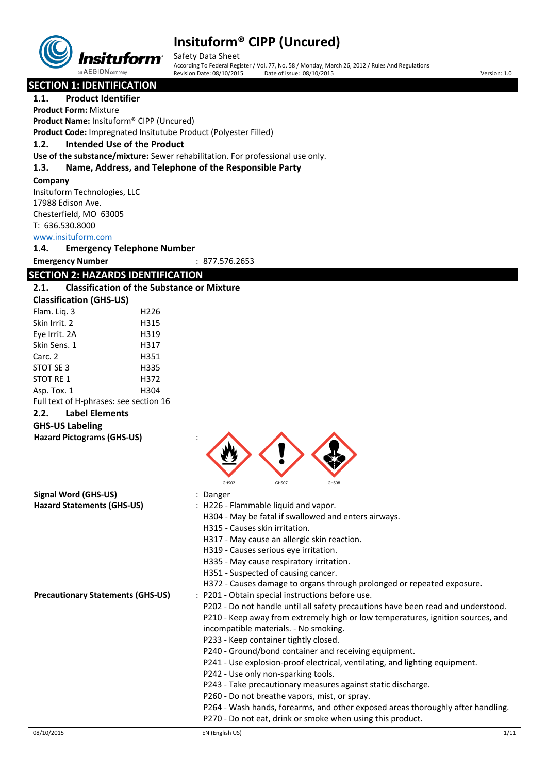

Safety Data Sheet According To Federal Register / Vol. 77, No. 58 / Monday, March 26, 2012 / Rules And Regulations Date of issue: 08/10/2015 Version: 1.0

**SECTION 1: IDENTIFICATION**

**1.1. Product Identifier Product Form:** Mixture

**Product Name:** Insituform® CIPP (Uncured)

**Product Code:** Impregnated Insitutube Product (Polyester Filled)

**1.2. Intended Use of the Product**

**Use of the substance/mixture:** Sewer rehabilitation. For professional use only.

#### **1.3. Name, Address, and Telephone of the Responsible Party**

#### **Company**

Insituform Technologies, LLC 17988 Edison Ave. Chesterfield, MO 63005 T: 636.530.8000 <www.insituform.com>

#### **1.4. Emergency Telephone Number**

**Emergency Number** : 877.576.2653

#### **SECTION 2: HAZARDS IDENTIFICATION 2.1. Classification of the Substance or Mixture**

|                                        | Classincation of the Sabstar |
|----------------------------------------|------------------------------|
| <b>Classification (GHS-US)</b>         |                              |
| Flam. Lig. 3                           | H226                         |
| Skin Irrit. 2                          | H315                         |
| Eye Irrit. 2A                          | H319                         |
| Skin Sens. 1                           | H317                         |
| Carc. 2                                | H351                         |
| STOT SE 3                              | H335                         |
| STOT RE 1                              | H372                         |
| Asp. Tox. 1                            | H304                         |
| Full text of H-phrases: see section 16 |                              |
|                                        |                              |

#### **2.2. Label Elements**

#### **GHS-US Labeling**

**Hazard Pictograms (GHS-US)** :

| Signal Word (GHS-US)                     | GHS02<br>GHS07<br>GHS08<br>: Danger                                              |
|------------------------------------------|----------------------------------------------------------------------------------|
| <b>Hazard Statements (GHS-US)</b>        | : H226 - Flammable liquid and vapor.                                             |
|                                          | H304 - May be fatal if swallowed and enters airways.                             |
|                                          | H315 - Causes skin irritation.                                                   |
|                                          | H317 - May cause an allergic skin reaction.                                      |
|                                          | H319 - Causes serious eye irritation.                                            |
|                                          | H335 - May cause respiratory irritation.                                         |
|                                          | H351 - Suspected of causing cancer.                                              |
|                                          | H372 - Causes damage to organs through prolonged or repeated exposure.           |
|                                          |                                                                                  |
| <b>Precautionary Statements (GHS-US)</b> | : P201 - Obtain special instructions before use.                                 |
|                                          | P202 - Do not handle until all safety precautions have been read and understood. |
|                                          | P210 - Keep away from extremely high or low temperatures, ignition sources, and  |
|                                          | incompatible materials. - No smoking.                                            |
|                                          | P233 - Keep container tightly closed.                                            |
|                                          | P240 - Ground/bond container and receiving equipment.                            |
|                                          | P241 - Use explosion-proof electrical, ventilating, and lighting equipment.      |
|                                          | P242 - Use only non-sparking tools.                                              |
|                                          | P243 - Take precautionary measures against static discharge.                     |
|                                          | P260 - Do not breathe vapors, mist, or spray.                                    |
|                                          | P264 - Wash hands, forearms, and other exposed areas thoroughly after handling.  |
|                                          | P270 - Do not eat, drink or smoke when using this product.                       |

 $\blacktriangle$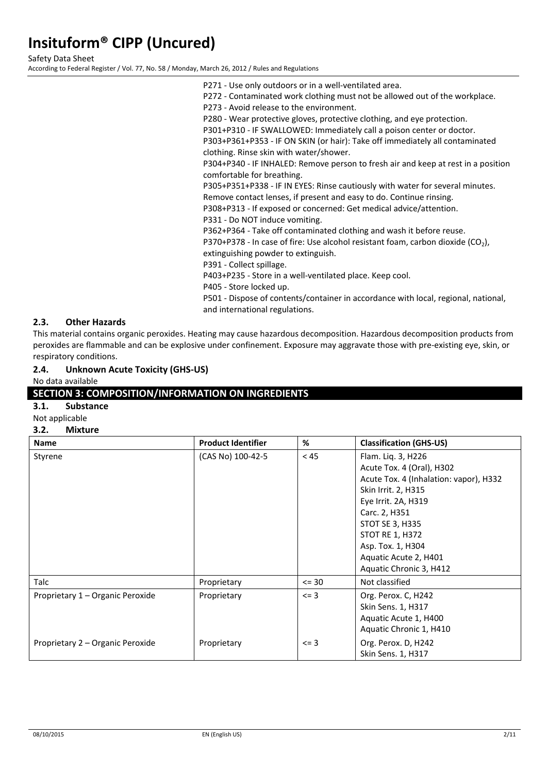Safety Data Sheet

According to Federal Register / Vol. 77, No. 58 / Monday, March 26, 2012 / Rules and Regulations

P271 - Use only outdoors or in a well-ventilated area. P272 - Contaminated work clothing must not be allowed out of the workplace. P273 - Avoid release to the environment. P280 - Wear protective gloves, protective clothing, and eye protection. P301+P310 - IF SWALLOWED: Immediately call a poison center or doctor. P303+P361+P353 - IF ON SKIN (or hair): Take off immediately all contaminated clothing. Rinse skin with water/shower. P304+P340 - IF INHALED: Remove person to fresh air and keep at rest in a position comfortable for breathing. P305+P351+P338 - IF IN EYES: Rinse cautiously with water for several minutes. Remove contact lenses, if present and easy to do. Continue rinsing. P308+P313 - If exposed or concerned: Get medical advice/attention. P331 - Do NOT induce vomiting. P362+P364 - Take off contaminated clothing and wash it before reuse. P370+P378 - In case of fire: Use alcohol resistant foam, carbon dioxide (CO<sub>2</sub>), extinguishing powder to extinguish. P391 - Collect spillage. P403+P235 - Store in a well-ventilated place. Keep cool. P405 - Store locked up. P501 - Dispose of contents/container in accordance with local, regional, national, and international regulations.

#### **2.3. Other Hazards**

This material contains organic peroxides. Heating may cause hazardous decomposition. Hazardous decomposition products from peroxides are flammable and can be explosive under confinement. Exposure may aggravate those with pre-existing eye, skin, or respiratory conditions.

#### **2.4. Unknown Acute Toxicity (GHS-US)**

No data available

#### **SECTION 3: COMPOSITION/INFORMATION ON INGREDIENTS**

#### **3.1. Substance**

Not applicable

#### **3.2. Mixture**

| <b>Name</b>                      | <b>Product Identifier</b> | %          | <b>Classification (GHS-US)</b>                                                                                                                                                                                                                                                 |
|----------------------------------|---------------------------|------------|--------------------------------------------------------------------------------------------------------------------------------------------------------------------------------------------------------------------------------------------------------------------------------|
| Styrene                          | (CAS No) 100-42-5         | < 45       | Flam. Liq. 3, H226<br>Acute Tox. 4 (Oral), H302<br>Acute Tox. 4 (Inhalation: vapor), H332<br>Skin Irrit. 2, H315<br>Eye Irrit. 2A, H319<br>Carc. 2, H351<br>STOT SE 3, H335<br><b>STOT RE 1, H372</b><br>Asp. Tox. 1, H304<br>Aquatic Acute 2, H401<br>Aquatic Chronic 3, H412 |
| Talc                             | Proprietary               | $= 30$     | Not classified                                                                                                                                                                                                                                                                 |
| Proprietary 1 - Organic Peroxide | Proprietary               | $\leq$ = 3 | Org. Perox. C, H242<br>Skin Sens. 1, H317<br>Aquatic Acute 1, H400<br>Aquatic Chronic 1, H410                                                                                                                                                                                  |
| Proprietary 2 - Organic Peroxide | Proprietary               | $\leq$ = 3 | Org. Perox. D, H242<br>Skin Sens. 1, H317                                                                                                                                                                                                                                      |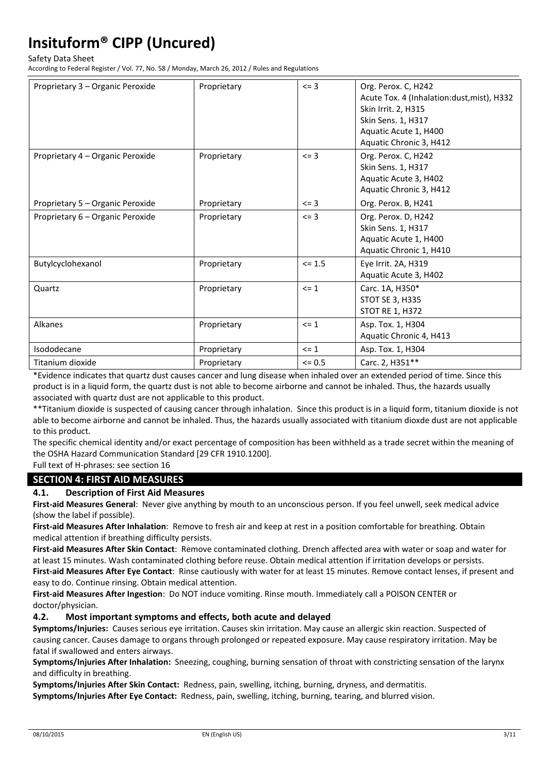Safety Data Sheet

According to Federal Register / Vol. 77, No. 58 / Monday, March 26, 2012 / Rules and Regulations

| Proprietary 3 - Organic Peroxide | Proprietary | $\leq$ = 3 | Org. Perox. C, H242                                               |
|----------------------------------|-------------|------------|-------------------------------------------------------------------|
|                                  |             |            | Acute Tox. 4 (Inhalation:dust, mist), H332<br>Skin Irrit. 2, H315 |
|                                  |             |            | Skin Sens. 1, H317                                                |
|                                  |             |            | Aquatic Acute 1, H400                                             |
|                                  |             |            | Aquatic Chronic 3, H412                                           |
| Proprietary 4 – Organic Peroxide | Proprietary | $\leq$ = 3 | Org. Perox. C, H242                                               |
|                                  |             |            | Skin Sens. 1, H317                                                |
|                                  |             |            | Aquatic Acute 3, H402                                             |
|                                  |             |            | Aquatic Chronic 3, H412                                           |
| Proprietary 5 - Organic Peroxide | Proprietary | $\leq$ = 3 | Org. Perox. B, H241                                               |
| Proprietary 6 - Organic Peroxide | Proprietary | $\leq$ = 3 | Org. Perox. D, H242                                               |
|                                  |             |            | <b>Skin Sens. 1, H317</b>                                         |
|                                  |             |            | Aquatic Acute 1, H400                                             |
|                                  |             |            | Aquatic Chronic 1, H410                                           |
| Butylcyclohexanol                | Proprietary | $\leq 1.5$ | Eye Irrit. 2A, H319                                               |
|                                  |             |            | Aquatic Acute 3, H402                                             |
| Quartz                           | Proprietary | $\leq$ 1   | Carc. 1A, H350*                                                   |
|                                  |             |            | STOT SE 3, H335                                                   |
|                                  |             |            | <b>STOT RE 1, H372</b>                                            |
| Alkanes                          | Proprietary | $\leq$ 1   | Asp. Tox. 1, H304                                                 |
|                                  |             |            | Aquatic Chronic 4, H413                                           |
| Isododecane                      | Proprietary | $\leq$ 1   | Asp. Tox. 1, H304                                                 |
| Titanium dioxide                 | Proprietary | $\leq 0.5$ | Carc. 2, H351**                                                   |

\*Evidence indicates that quartz dust causes cancer and lung disease when inhaled over an extended period of time. Since this product is in a liquid form, the quartz dust is not able to become airborne and cannot be inhaled. Thus, the hazards usually associated with quartz dust are not applicable to this product.

\*\*Titanium dioxide is suspected of causing cancer through inhalation. Since this product is in a liquid form, titanium dioxide is not able to become airborne and cannot be inhaled. Thus, the hazards usually associated with titanium dioxde dust are not applicable to this product.

The specific chemical identity and/or exact percentage of composition has been withheld as a trade secret within the meaning of the OSHA Hazard Communication Standard [29 CFR 1910.1200].

Full text of H-phrases: see section 16

### **SECTION 4: FIRST AID MEASURES**

#### **4.1. Description of First Aid Measures**

**First-aid Measures General**: Never give anything by mouth to an unconscious person. If you feel unwell, seek medical advice (show the label if possible).

**First-aid Measures After Inhalation**: Remove to fresh air and keep at rest in a position comfortable for breathing. Obtain medical attention if breathing difficulty persists.

**First-aid Measures After Skin Contact**: Remove contaminated clothing. Drench affected area with water or soap and water for at least 15 minutes. Wash contaminated clothing before reuse. Obtain medical attention if irritation develops or persists. **First-aid Measures After Eye Contact**: Rinse cautiously with water for at least 15 minutes. Remove contact lenses, if present and

easy to do. Continue rinsing. Obtain medical attention.

**First-aid Measures After Ingestion**: Do NOT induce vomiting. Rinse mouth. Immediately call a POISON CENTER or doctor/physician.

#### **4.2. Most important symptoms and effects, both acute and delayed**

**Symptoms/Injuries:** Causes serious eye irritation. Causes skin irritation. May cause an allergic skin reaction. Suspected of causing cancer. Causes damage to organs through prolonged or repeated exposure. May cause respiratory irritation. May be fatal if swallowed and enters airways.

**Symptoms/Injuries After Inhalation:** Sneezing, coughing, burning sensation of throat with constricting sensation of the larynx and difficulty in breathing.

**Symptoms/Injuries After Skin Contact:** Redness, pain, swelling, itching, burning, dryness, and dermatitis.

**Symptoms/Injuries After Eye Contact:** Redness, pain, swelling, itching, burning, tearing, and blurred vision.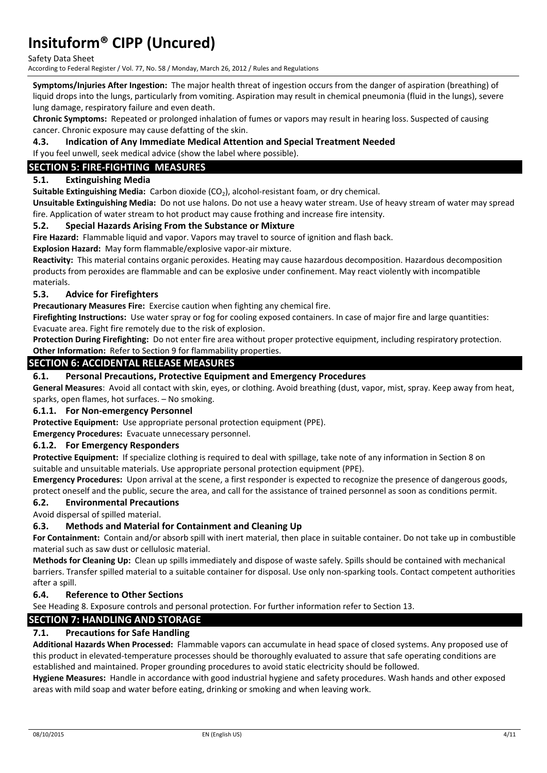Safety Data Sheet

According to Federal Register / Vol. 77, No. 58 / Monday, March 26, 2012 / Rules and Regulations

**Symptoms/Injuries After Ingestion:** The major health threat of ingestion occurs from the danger of aspiration (breathing) of liquid drops into the lungs, particularly from vomiting. Aspiration may result in chemical pneumonia (fluid in the lungs), severe lung damage, respiratory failure and even death.

**Chronic Symptoms:** Repeated or prolonged inhalation of fumes or vapors may result in hearing loss. Suspected of causing cancer. Chronic exposure may cause defatting of the skin.

**4.3. Indication of Any Immediate Medical Attention and Special Treatment Needed** If you feel unwell, seek medical advice (show the label where possible).

### **SECTION 5: FIRE-FIGHTING MEASURES**

#### **5.1. Extinguishing Media**

Suitable Extinguishing Media: Carbon dioxide (CO<sub>2</sub>), alcohol-resistant foam, or dry chemical.

**Unsuitable Extinguishing Media:** Do not use halons. Do not use a heavy water stream. Use of heavy stream of water may spread fire. Application of water stream to hot product may cause frothing and increase fire intensity.

#### **5.2. Special Hazards Arising From the Substance or Mixture**

**Fire Hazard:** Flammable liquid and vapor. Vapors may travel to source of ignition and flash back.

**Explosion Hazard:** May form flammable/explosive vapor-air mixture.

**Reactivity:** This material contains organic peroxides. Heating may cause hazardous decomposition. Hazardous decomposition products from peroxides are flammable and can be explosive under confinement. May react violently with incompatible materials.

#### **5.3. Advice for Firefighters**

**Precautionary Measures Fire:** Exercise caution when fighting any chemical fire.

**Firefighting Instructions:** Use water spray or fog for cooling exposed containers. In case of major fire and large quantities: Evacuate area. Fight fire remotely due to the risk of explosion.

**Protection During Firefighting:** Do not enter fire area without proper protective equipment, including respiratory protection. **Other Information:** Refer to Section 9 for flammability properties.

#### **SECTION 6: ACCIDENTAL RELEASE MEASURES**

#### **6.1. Personal Precautions, Protective Equipment and Emergency Procedures**

**General Measures**: Avoid all contact with skin, eyes, or clothing. Avoid breathing (dust, vapor, mist, spray. Keep away from heat, sparks, open flames, hot surfaces. – No smoking.

#### **6.1.1. For Non-emergency Personnel**

**Protective Equipment:** Use appropriate personal protection equipment (PPE).

**Emergency Procedures:** Evacuate unnecessary personnel.

#### **6.1.2. For Emergency Responders**

**Protective Equipment:** If specialize clothing is required to deal with spillage, take note of any information in Section 8 on suitable and unsuitable materials. Use appropriate personal protection equipment (PPE).

**Emergency Procedures:** Upon arrival at the scene, a first responder is expected to recognize the presence of dangerous goods,

protect oneself and the public, secure the area, and call for the assistance of trained personnel as soon as conditions permit.

#### **6.2. Environmental Precautions**

Avoid dispersal of spilled material.

#### **6.3. Methods and Material for Containment and Cleaning Up**

**For Containment:** Contain and/or absorb spill with inert material, then place in suitable container. Do not take up in combustible material such as saw dust or cellulosic material.

**Methods for Cleaning Up:** Clean up spills immediately and dispose of waste safely. Spills should be contained with mechanical barriers. Transfer spilled material to a suitable container for disposal. Use only non-sparking tools. Contact competent authorities after a spill.

#### **6.4. Reference to Other Sections**

See Heading 8. Exposure controls and personal protection. For further information refer to Section 13.

#### **SECTION 7: HANDLING AND STORAGE**

#### **7.1. Precautions for Safe Handling**

**Additional Hazards When Processed:** Flammable vapors can accumulate in head space of closed systems. Any proposed use of this product in elevated-temperature processes should be thoroughly evaluated to assure that safe operating conditions are established and maintained. Proper grounding procedures to avoid static electricity should be followed.

**Hygiene Measures:** Handle in accordance with good industrial hygiene and safety procedures. Wash hands and other exposed areas with mild soap and water before eating, drinking or smoking and when leaving work.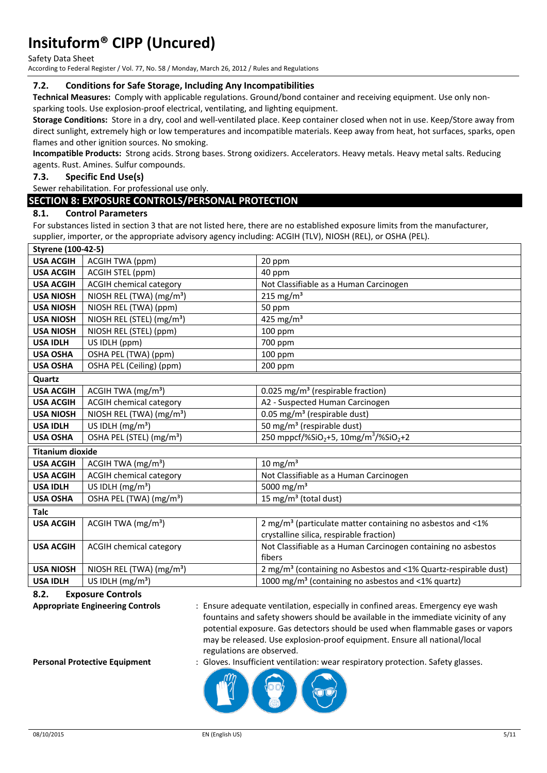Safety Data Sheet

According to Federal Register / Vol. 77, No. 58 / Monday, March 26, 2012 / Rules and Regulations

#### **7.2. Conditions for Safe Storage, Including Any Incompatibilities**

**Technical Measures:** Comply with applicable regulations. Ground/bond container and receiving equipment. Use only nonsparking tools. Use explosion-proof electrical, ventilating, and lighting equipment.

**Storage Conditions:** Store in a dry, cool and well-ventilated place. Keep container closed when not in use. Keep/Store away from direct sunlight, extremely high or low temperatures and incompatible materials. Keep away from heat, hot surfaces, sparks, open flames and other ignition sources. No smoking.

**Incompatible Products:** Strong acids. Strong bases. Strong oxidizers. Accelerators. Heavy metals. Heavy metal salts. Reducing agents. Rust. Amines. Sulfur compounds.

#### **7.3. Specific End Use(s)**

Sewer rehabilitation. For professional use only.

#### **SECTION 8: EXPOSURE CONTROLS/PERSONAL PROTECTION**

#### **8.1. Control Parameters**

For substances listed in section 3 that are not listed here, there are no established exposure limits from the manufacturer, supplier, importer, or the appropriate advisory agency including: ACGIH (TLV), NIOSH (REL), or OSHA (PEL).

| <b>Styrene (100-42-5)</b> |                                       |                                                                             |
|---------------------------|---------------------------------------|-----------------------------------------------------------------------------|
| <b>USA ACGIH</b>          | <b>ACGIH TWA (ppm)</b>                | 20 ppm                                                                      |
| <b>USA ACGIH</b>          | ACGIH STEL (ppm)                      | 40 ppm                                                                      |
| <b>USA ACGIH</b>          | <b>ACGIH chemical category</b>        | Not Classifiable as a Human Carcinogen                                      |
| <b>USA NIOSH</b>          | NIOSH REL (TWA) (mg/m <sup>3</sup> )  | 215 mg/m <sup>3</sup>                                                       |
| <b>USA NIOSH</b>          | NIOSH REL (TWA) (ppm)                 | 50 ppm                                                                      |
| <b>USA NIOSH</b>          | NIOSH REL (STEL) (mg/m <sup>3</sup> ) | 425 mg/m <sup>3</sup>                                                       |
| <b>USA NIOSH</b>          | NIOSH REL (STEL) (ppm)                | 100 ppm                                                                     |
| <b>USA IDLH</b>           | US IDLH (ppm)                         | 700 ppm                                                                     |
| <b>USA OSHA</b>           | OSHA PEL (TWA) (ppm)                  | 100 ppm                                                                     |
| <b>USA OSHA</b>           | OSHA PEL (Ceiling) (ppm)              | 200 ppm                                                                     |
| Quartz                    |                                       |                                                                             |
| <b>USA ACGIH</b>          | ACGIH TWA $(mg/m3)$                   | 0.025 mg/m <sup>3</sup> (respirable fraction)                               |
| <b>USA ACGIH</b>          | <b>ACGIH chemical category</b>        | A2 - Suspected Human Carcinogen                                             |
| <b>USA NIOSH</b>          | NIOSH REL (TWA) (mg/m <sup>3</sup> )  | 0.05 mg/m <sup>3</sup> (respirable dust)                                    |
| <b>USA IDLH</b>           | US IDLH (mg/m <sup>3</sup> )          | 50 mg/m <sup>3</sup> (respirable dust)                                      |
| <b>USA OSHA</b>           | OSHA PEL (STEL) (mg/m <sup>3</sup> )  | 250 mppcf/%SiO <sub>2</sub> +5, 10mg/m <sup>3</sup> /%SiO <sub>2</sub> +2   |
| <b>Titanium dioxide</b>   |                                       |                                                                             |
| <b>USA ACGIH</b>          | ACGIH TWA (mg/m <sup>3</sup> )        | $10 \text{ mg/m}^3$                                                         |
| <b>USA ACGIH</b>          | <b>ACGIH chemical category</b>        | Not Classifiable as a Human Carcinogen                                      |
| <b>USA IDLH</b>           | US IDLH $(mg/m3)$                     | 5000 mg/m <sup>3</sup>                                                      |
| <b>USA OSHA</b>           | OSHA PEL (TWA) (mg/m <sup>3</sup> )   | 15 mg/m <sup>3</sup> (total dust)                                           |
| <b>Talc</b>               |                                       |                                                                             |
| <b>USA ACGIH</b>          | ACGIH TWA $(mg/m3)$                   | 2 mg/m <sup>3</sup> (particulate matter containing no asbestos and <1%      |
|                           |                                       | crystalline silica, respirable fraction)                                    |
| <b>USA ACGIH</b>          | <b>ACGIH chemical category</b>        | Not Classifiable as a Human Carcinogen containing no asbestos               |
|                           |                                       | fibers                                                                      |
| <b>USA NIOSH</b>          | NIOSH REL (TWA) (mg/m <sup>3</sup> )  | 2 mg/m <sup>3</sup> (containing no Asbestos and <1% Quartz-respirable dust) |
| <b>USA IDLH</b>           | US IDLH $(mg/m3)$                     | 1000 mg/m <sup>3</sup> (containing no asbestos and <1% quartz)              |

**8.2. Exposure Controls** 

**Appropriate Engineering Controls** : Ensure adequate ventilation, especially in confined areas. Emergency eye wash fountains and safety showers should be available in the immediate vicinity of any potential exposure. Gas detectors should be used when flammable gases or vapors may be released. Use explosion-proof equipment. Ensure all national/local regulations are observed.

**Personal Protective Equipment** : Gloves. Insufficient ventilation: wear respiratory protection. Safety glasses.

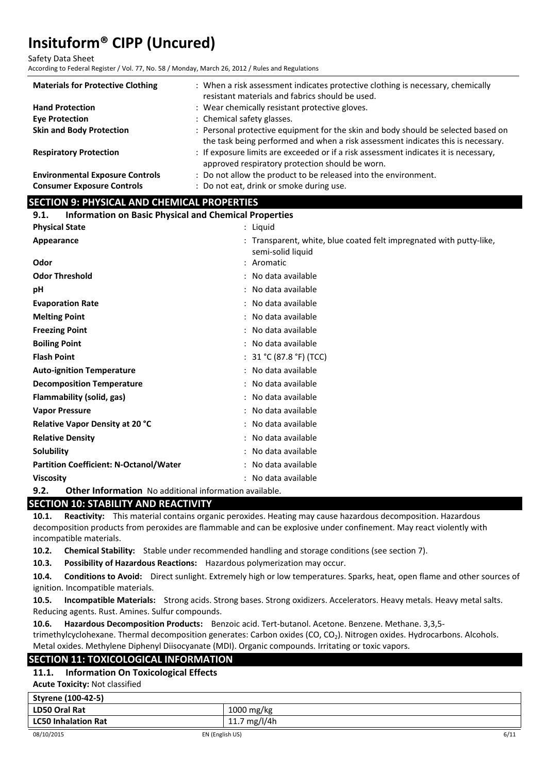Safety Data Sheet

According to Federal Register / Vol. 77, No. 58 / Monday, March 26, 2012 / Rules and Regulations

| <b>Materials for Protective Clothing</b>                                    | : When a risk assessment indicates protective clothing is necessary, chemically<br>resistant materials and fabrics should be used.                                    |
|-----------------------------------------------------------------------------|-----------------------------------------------------------------------------------------------------------------------------------------------------------------------|
| <b>Hand Protection</b>                                                      | : Wear chemically resistant protective gloves.                                                                                                                        |
| <b>Eve Protection</b>                                                       | : Chemical safety glasses.                                                                                                                                            |
| <b>Skin and Body Protection</b>                                             | : Personal protective equipment for the skin and body should be selected based on<br>the task being performed and when a risk assessment indicates this is necessary. |
| <b>Respiratory Protection</b>                                               | : If exposure limits are exceeded or if a risk assessment indicates it is necessary,<br>approved respiratory protection should be worn.                               |
| <b>Environmental Exposure Controls</b><br><b>Consumer Exposure Controls</b> | : Do not allow the product to be released into the environment.<br>: Do not eat, drink or smoke during use.                                                           |

#### **SECTION 9: PHYSICAL AND CHEMICAL PROPERTIES**

| <b>Information on Basic Physical and Chemical Properties</b><br>9.1. |                                                                                          |  |
|----------------------------------------------------------------------|------------------------------------------------------------------------------------------|--|
| <b>Physical State</b>                                                | : Liquid                                                                                 |  |
| Appearance                                                           | : Transparent, white, blue coated felt impregnated with putty-like,<br>semi-solid liquid |  |
| Odor                                                                 | : Aromatic                                                                               |  |
| <b>Odor Threshold</b>                                                | : No data available                                                                      |  |
| pH                                                                   | : No data available                                                                      |  |
| <b>Evaporation Rate</b>                                              | : No data available                                                                      |  |
| <b>Melting Point</b>                                                 | : No data available                                                                      |  |
| <b>Freezing Point</b>                                                | : No data available                                                                      |  |
| <b>Boiling Point</b>                                                 | : No data available                                                                      |  |
| <b>Flash Point</b>                                                   | : $31 °C (87.8 °F) (TCC)$                                                                |  |
| <b>Auto-ignition Temperature</b>                                     | : No data available                                                                      |  |
| <b>Decomposition Temperature</b>                                     | : No data available                                                                      |  |
| Flammability (solid, gas)                                            | : No data available                                                                      |  |
| <b>Vapor Pressure</b>                                                | : No data available                                                                      |  |
| Relative Vapor Density at 20 °C                                      | : No data available                                                                      |  |
| <b>Relative Density</b>                                              | : No data available                                                                      |  |
| Solubility                                                           | : No data available                                                                      |  |
| <b>Partition Coefficient: N-Octanol/Water</b>                        | : No data available                                                                      |  |
| <b>Viscosity</b>                                                     | : No data available                                                                      |  |
| രാ<br><b>Othor Information</b> Ne additional information available   |                                                                                          |  |

**9.2. Other Information** No additional information available.

#### **SECTION 10: STABILITY AND REACTIVITY**

**10.1. Reactivity:** This material contains organic peroxides. Heating may cause hazardous decomposition. Hazardous decomposition products from peroxides are flammable and can be explosive under confinement. May react violently with incompatible materials.

**10.2. Chemical Stability:** Stable under recommended handling and storage conditions (see section 7).

**10.3. Possibility of Hazardous Reactions:** Hazardous polymerization may occur.

**10.4. Conditions to Avoid:** Direct sunlight. Extremely high or low temperatures. Sparks, heat, open flame and other sources of ignition. Incompatible materials.

**10.5. Incompatible Materials:** Strong acids. Strong bases. Strong oxidizers. Accelerators. Heavy metals. Heavy metal salts. Reducing agents. Rust. Amines. Sulfur compounds.

**10.6. Hazardous Decomposition Products:** Benzoic acid. Tert-butanol. Acetone. Benzene. Methane. 3,3,5 trimethylcyclohexane. Thermal decomposition generates: Carbon oxides (CO, CO<sub>2</sub>). Nitrogen oxides. Hydrocarbons. Alcohols. Metal oxides. Methylene Diphenyl Diisocyanate (MDI). Organic compounds. Irritating or toxic vapors.

#### **SECTION 11: TOXICOLOGICAL INFORMATION**

#### **11.1. Information On Toxicological Effects**

**Acute Toxicity:** Not classified

| Styrene (100-42-5)         |              |
|----------------------------|--------------|
| LD50 Oral Rat              | $1000$ mg/kg |
| <b>LC50 Inhalation Rat</b> | 11.7 mg/l/4h |
|                            |              |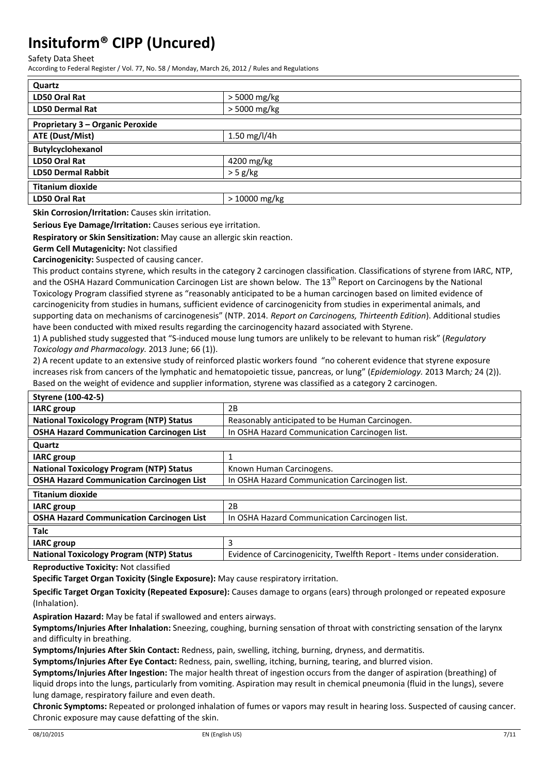Safety Data Sheet

According to Federal Register / Vol. 77, No. 58 / Monday, March 26, 2012 / Rules and Regulations

| Quartz                           |                |
|----------------------------------|----------------|
| LD50 Oral Rat                    | $>$ 5000 mg/kg |
| <b>LD50 Dermal Rat</b>           | > 5000 mg/kg   |
| Proprietary 3 - Organic Peroxide |                |
| ATE (Dust/Mist)                  | 1.50 mg/l/4h   |
| Butylcyclohexanol                |                |
| LD50 Oral Rat                    | 4200 mg/kg     |
| <b>LD50 Dermal Rabbit</b>        | $>$ 5 g/kg     |
| <b>Titanium dioxide</b>          |                |
| LD50 Oral Rat                    | > 10000 mg/kg  |

**Skin Corrosion/Irritation:** Causes skin irritation.

**Serious Eye Damage/Irritation:** Causes serious eye irritation.

**Respiratory or Skin Sensitization:** May cause an allergic skin reaction.

**Germ Cell Mutagenicity:** Not classified

**Carcinogenicity:** Suspected of causing cancer.

This product contains styrene, which results in the category 2 carcinogen classification. Classifications of styrene from IARC, NTP, and the OSHA Hazard Communication Carcinogen List are shown below. The 13<sup>th</sup> Report on Carcinogens by the National Toxicology Program classified styrene as "reasonably anticipated to be a human carcinogen based on limited evidence of carcinogenicity from studies in humans, sufficient evidence of carcinogenicity from studies in experimental animals, and supporting data on mechanisms of carcinogenesis" (NTP. 2014. *Report on Carcinogens, Thirteenth Edition*). Additional studies have been conducted with mixed results regarding the carcinogencity hazard associated with Styrene.

1) A published study suggested that "S-induced mouse lung tumors are unlikely to be relevant to human risk" (*Regulatory Toxicology and Pharmacology.* 2013 June; 66 (1)).

2) A recent update to an extensive study of reinforced plastic workers found "no coherent evidence that styrene exposure increases risk from cancers of the lymphatic and hematopoietic tissue, pancreas, or lung" (*Epidemiology.* 2013 March*;* 24 (2)). Based on the weight of evidence and supplier information, styrene was classified as a category 2 carcinogen.

| <b>Styrene (100-42-5)</b>                        |                                                                          |
|--------------------------------------------------|--------------------------------------------------------------------------|
| <b>IARC</b> group                                | 2B                                                                       |
| <b>National Toxicology Program (NTP) Status</b>  | Reasonably anticipated to be Human Carcinogen.                           |
| <b>OSHA Hazard Communication Carcinogen List</b> | In OSHA Hazard Communication Carcinogen list.                            |
| Quartz                                           |                                                                          |
| <b>IARC</b> group                                | 1                                                                        |
| <b>National Toxicology Program (NTP) Status</b>  | Known Human Carcinogens.                                                 |
| <b>OSHA Hazard Communication Carcinogen List</b> | In OSHA Hazard Communication Carcinogen list.                            |
| <b>Titanium dioxide</b>                          |                                                                          |
| <b>IARC</b> group                                | 2B                                                                       |
| <b>OSHA Hazard Communication Carcinogen List</b> | In OSHA Hazard Communication Carcinogen list.                            |
| <b>Talc</b>                                      |                                                                          |
| <b>IARC</b> group                                | 3                                                                        |
| <b>National Toxicology Program (NTP) Status</b>  | Evidence of Carcinogenicity, Twelfth Report - Items under consideration. |

**Reproductive Toxicity:** Not classified

**Specific Target Organ Toxicity (Single Exposure):** May cause respiratory irritation.

**Specific Target Organ Toxicity (Repeated Exposure):** Causes damage to organs (ears) through prolonged or repeated exposure (Inhalation).

**Aspiration Hazard:** May be fatal if swallowed and enters airways.

**Symptoms/Injuries After Inhalation:** Sneezing, coughing, burning sensation of throat with constricting sensation of the larynx and difficulty in breathing.

**Symptoms/Injuries After Skin Contact:** Redness, pain, swelling, itching, burning, dryness, and dermatitis.

**Symptoms/Injuries After Eye Contact:** Redness, pain, swelling, itching, burning, tearing, and blurred vision.

**Symptoms/Injuries After Ingestion:** The major health threat of ingestion occurs from the danger of aspiration (breathing) of liquid drops into the lungs, particularly from vomiting. Aspiration may result in chemical pneumonia (fluid in the lungs), severe lung damage, respiratory failure and even death.

**Chronic Symptoms:** Repeated or prolonged inhalation of fumes or vapors may result in hearing loss. Suspected of causing cancer. Chronic exposure may cause defatting of the skin.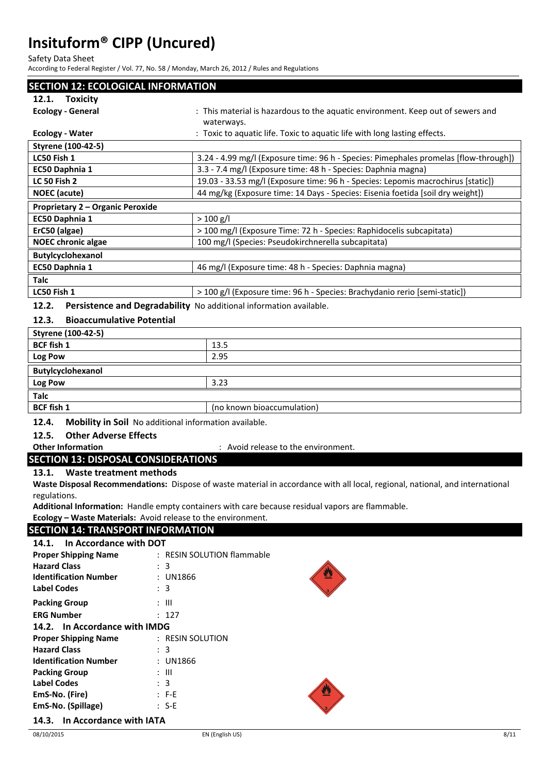Safety Data Sheet

According to Federal Register / Vol. 77, No. 58 / Monday, March 26, 2012 / Rules and Regulations

| <b>SECTION 12: ECOLOGICAL INFORMATION</b>                                   |                                                                                      |  |
|-----------------------------------------------------------------------------|--------------------------------------------------------------------------------------|--|
| <b>Toxicity</b><br>12.1.                                                    |                                                                                      |  |
| <b>Ecology - General</b>                                                    | : This material is hazardous to the aquatic environment. Keep out of sewers and      |  |
|                                                                             | waterways.                                                                           |  |
| <b>Ecology - Water</b>                                                      | : Toxic to aquatic life. Toxic to aquatic life with long lasting effects.            |  |
| Styrene (100-42-5)                                                          |                                                                                      |  |
| LC50 Fish 1                                                                 | 3.24 - 4.99 mg/l (Exposure time: 96 h - Species: Pimephales promelas [flow-through]) |  |
| EC50 Daphnia 1                                                              | 3.3 - 7.4 mg/l (Exposure time: 48 h - Species: Daphnia magna)                        |  |
| <b>LC 50 Fish 2</b>                                                         | 19.03 - 33.53 mg/l (Exposure time: 96 h - Species: Lepomis macrochirus [static])     |  |
| <b>NOEC</b> (acute)                                                         | 44 mg/kg (Exposure time: 14 Days - Species: Eisenia foetida [soil dry weight])       |  |
| Proprietary 2 - Organic Peroxide                                            |                                                                                      |  |
| EC50 Daphnia 1                                                              | $> 100$ g/l                                                                          |  |
| ErC50 (algae)                                                               | > 100 mg/l (Exposure Time: 72 h - Species: Raphidocelis subcapitata)                 |  |
| <b>NOEC chronic algae</b>                                                   | 100 mg/l (Species: Pseudokirchnerella subcapitata)                                   |  |
| <b>Butylcyclohexanol</b>                                                    |                                                                                      |  |
| EC50 Daphnia 1                                                              | 46 mg/l (Exposure time: 48 h - Species: Daphnia magna)                               |  |
| <b>Talc</b>                                                                 |                                                                                      |  |
| LC50 Fish 1                                                                 | > 100 g/l (Exposure time: 96 h - Species: Brachydanio rerio [semi-static])           |  |
| 12.2.<br>Persistence and Degradability No additional information available. |                                                                                      |  |

#### **12.3. Bioaccumulative Potential**

| Styrene (100-42-5) |                            |
|--------------------|----------------------------|
| <b>BCF fish 1</b>  | 13.5                       |
| Log Pow            | 2.95                       |
| Butylcyclohexanol  |                            |
| Log Pow            | 3.23                       |
| <b>Talc</b>        |                            |
| <b>BCF</b> fish 1  | (no known bioaccumulation) |

**12.4. Mobility in Soil** No additional information available.

# **12.5. Other Adverse Effects**

**Other Information** : Avoid release to the environment.

#### **SECTION 13: DISPOSAL CONSIDERATIONS**

**13.1. Waste treatment methods**

**Waste Disposal Recommendations:** Dispose of waste material in accordance with all local, regional, national, and international regulations.

**Additional Information:** Handle empty containers with care because residual vapors are flammable.

#### **Ecology – Waste Materials:** Avoid release to the environment.

### **SECTION 14: TRANSPORT INFORMATION**

| In Accordance with DOT<br>14.1. |                            |
|---------------------------------|----------------------------|
| <b>Proper Shipping Name</b>     | : RESIN SOLUTION flammable |
| <b>Hazard Class</b>             | $\therefore$ 3             |
| <b>Identification Number</b>    | : UN1866                   |
| <b>Label Codes</b>              | : 3                        |
| <b>Packing Group</b>            | : III                      |
| <b>ERG Number</b>               | : 127                      |
| 14.2. In Accordance with IMDG   |                            |
| <b>Proper Shipping Name</b>     | : RESIN SOLUTION           |
| <b>Hazard Class</b>             | $\therefore$ 3             |
| <b>Identification Number</b>    | : UN1866                   |
| <b>Packing Group</b>            | $\therefore$ $\parallel$   |
| <b>Label Codes</b>              | $\therefore$ 3             |
| EmS-No. (Fire)                  | $: F-E$                    |
| EmS-No. (Spillage)              | $: S-E$                    |
| 14.3. In Accordance with IATA   |                            |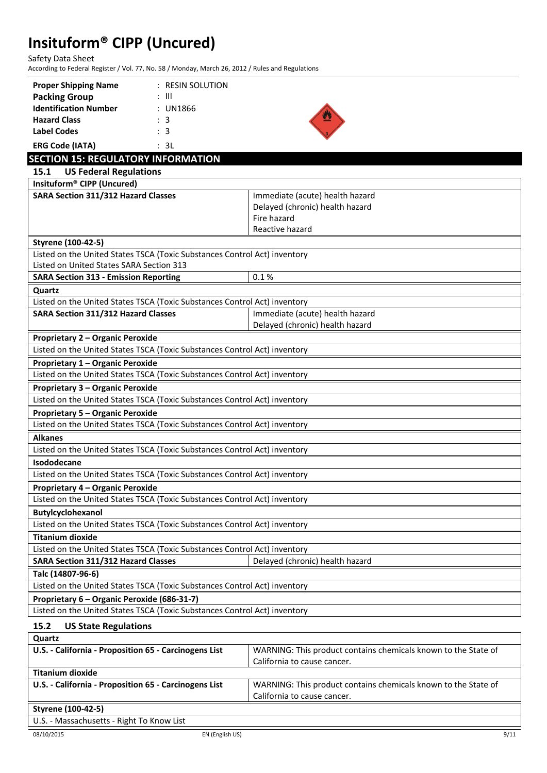Safety Data Sheet

According to Federal Register / Vol. 77, No. 58 / Monday, March 26, 2012 / Rules and Regulations

| <b>Proper Shipping Name</b>  | $:$ RESIN SOLUTION |  |
|------------------------------|--------------------|--|
| <b>Packing Group</b>         | : III              |  |
| <b>Identification Number</b> | : UN1866           |  |
| <b>Hazard Class</b>          | : 3                |  |
| Label Codes                  | $\therefore$ 3     |  |
| <b>ERG Code (IATA)</b>       | : 3L               |  |

| <b>SECTION 15: REGULATORY INFORMATION</b>                                 |                                 |  |  |
|---------------------------------------------------------------------------|---------------------------------|--|--|
| <b>US Federal Regulations</b><br>15.1                                     |                                 |  |  |
| Insituform® CIPP (Uncured)                                                |                                 |  |  |
| <b>SARA Section 311/312 Hazard Classes</b>                                | Immediate (acute) health hazard |  |  |
|                                                                           | Delayed (chronic) health hazard |  |  |
|                                                                           | Fire hazard                     |  |  |
|                                                                           | Reactive hazard                 |  |  |
| Styrene (100-42-5)                                                        |                                 |  |  |
| Listed on the United States TSCA (Toxic Substances Control Act) inventory |                                 |  |  |
| Listed on United States SARA Section 313                                  |                                 |  |  |
| <b>SARA Section 313 - Emission Reporting</b>                              | 0.1%                            |  |  |
| Quartz                                                                    |                                 |  |  |
| Listed on the United States TSCA (Toxic Substances Control Act) inventory |                                 |  |  |
| SARA Section 311/312 Hazard Classes                                       | Immediate (acute) health hazard |  |  |
|                                                                           | Delayed (chronic) health hazard |  |  |
| Proprietary 2 - Organic Peroxide                                          |                                 |  |  |
| Listed on the United States TSCA (Toxic Substances Control Act) inventory |                                 |  |  |
| Proprietary 1 - Organic Peroxide                                          |                                 |  |  |
| Listed on the United States TSCA (Toxic Substances Control Act) inventory |                                 |  |  |
| <b>Proprietary 3 - Organic Peroxide</b>                                   |                                 |  |  |
| Listed on the United States TSCA (Toxic Substances Control Act) inventory |                                 |  |  |
| <b>Proprietary 5 - Organic Peroxide</b>                                   |                                 |  |  |
| Listed on the United States TSCA (Toxic Substances Control Act) inventory |                                 |  |  |
| <b>Alkanes</b>                                                            |                                 |  |  |
| Listed on the United States TSCA (Toxic Substances Control Act) inventory |                                 |  |  |
| <b>Isododecane</b>                                                        |                                 |  |  |
| Listed on the United States TSCA (Toxic Substances Control Act) inventory |                                 |  |  |
| Proprietary 4 - Organic Peroxide                                          |                                 |  |  |
| Listed on the United States TSCA (Toxic Substances Control Act) inventory |                                 |  |  |
| Butylcyclohexanol                                                         |                                 |  |  |
| Listed on the United States TSCA (Toxic Substances Control Act) inventory |                                 |  |  |
| <b>Titanium dioxide</b>                                                   |                                 |  |  |
| Listed on the United States TSCA (Toxic Substances Control Act) inventory |                                 |  |  |
| <b>SARA Section 311/312 Hazard Classes</b>                                | Delayed (chronic) health hazard |  |  |
| Talc (14807-96-6)                                                         |                                 |  |  |
| Listed on the United States TSCA (Toxic Substances Control Act) inventory |                                 |  |  |
| Proprietary 6 - Organic Peroxide (686-31-7)                               |                                 |  |  |
| Listed on the United States TSCA (Toxic Substances Control Act) inventory |                                 |  |  |

#### **15.2 US State Regulations**

| Quartz                                                |                                                                |
|-------------------------------------------------------|----------------------------------------------------------------|
| U.S. - California - Proposition 65 - Carcinogens List | WARNING: This product contains chemicals known to the State of |
|                                                       | California to cause cancer.                                    |
| <b>Titanium dioxide</b>                               |                                                                |
| U.S. - California - Proposition 65 - Carcinogens List | WARNING: This product contains chemicals known to the State of |
|                                                       | California to cause cancer.                                    |
| <b>Styrene (100-42-5)</b>                             |                                                                |
| LLC Maccochusetts Dight To Know List                  |                                                                |

U.S. - Massachusetts - Right To Know List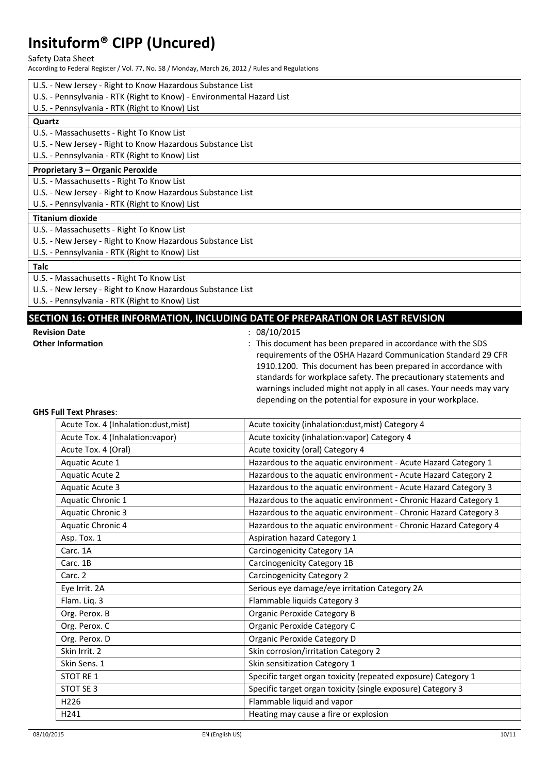#### Safety Data Sheet

According to Federal Register / Vol. 77, No. 58 / Monday, March 26, 2012 / Rules and Regulations

- U.S. New Jersey Right to Know Hazardous Substance List
- U.S. Pennsylvania RTK (Right to Know) Environmental Hazard List
- U.S. Pennsylvania RTK (Right to Know) List

#### **Quartz**

- U.S. Massachusetts Right To Know List
- U.S. New Jersey Right to Know Hazardous Substance List

U.S. - Pennsylvania - RTK (Right to Know) List

#### **Proprietary 3 – Organic Peroxide**

U.S. - Massachusetts - Right To Know List

- U.S. New Jersey Right to Know Hazardous Substance List
- U.S. Pennsylvania RTK (Right to Know) List

#### **Titanium dioxide**

- U.S. Massachusetts Right To Know List
- U.S. New Jersey Right to Know Hazardous Substance List
- U.S. Pennsylvania RTK (Right to Know) List

#### **Talc**

- U.S. Massachusetts Right To Know List
- U.S. New Jersey Right to Know Hazardous Substance List
- U.S. Pennsylvania RTK (Right to Know) List

#### **SECTION 16: OTHER INFORMATION, INCLUDING DATE OF PREPARATION OR LAST REVISION**

- **Revision Date** : 08/10/2015
- 

**Other Information Channel Except Englisher Information** : This document has been prepared in accordance with the SDS requirements of the OSHA Hazard Communication Standard 29 CFR 1910.1200. This document has been prepared in accordance with standards for workplace safety. The precautionary statements and warnings included might not apply in all cases. Your needs may vary depending on the potential for exposure in your workplace.

#### **GHS Full Text Phrases**:

| Acute Tox. 4 (Inhalation:dust, mist) | Acute toxicity (inhalation:dust, mist) Category 4                |
|--------------------------------------|------------------------------------------------------------------|
| Acute Tox. 4 (Inhalation: vapor)     | Acute toxicity (inhalation: vapor) Category 4                    |
| Acute Tox. 4 (Oral)                  | Acute toxicity (oral) Category 4                                 |
| Aquatic Acute 1                      | Hazardous to the aquatic environment - Acute Hazard Category 1   |
| <b>Aquatic Acute 2</b>               | Hazardous to the aquatic environment - Acute Hazard Category 2   |
| <b>Aquatic Acute 3</b>               | Hazardous to the aquatic environment - Acute Hazard Category 3   |
| Aquatic Chronic 1                    | Hazardous to the aquatic environment - Chronic Hazard Category 1 |
| <b>Aquatic Chronic 3</b>             | Hazardous to the aquatic environment - Chronic Hazard Category 3 |
| Aquatic Chronic 4                    | Hazardous to the aquatic environment - Chronic Hazard Category 4 |
| Asp. Tox. 1                          | Aspiration hazard Category 1                                     |
| Carc. 1A                             | Carcinogenicity Category 1A                                      |
| Carc. 1B                             | Carcinogenicity Category 1B                                      |
| Carc. 2                              | <b>Carcinogenicity Category 2</b>                                |
| Eye Irrit. 2A                        | Serious eye damage/eye irritation Category 2A                    |
| Flam. Liq. 3                         | Flammable liquids Category 3                                     |
| Org. Perox. B                        | <b>Organic Peroxide Category B</b>                               |
| Org. Perox. C                        | Organic Peroxide Category C                                      |
| Org. Perox. D                        | Organic Peroxide Category D                                      |
| Skin Irrit. 2                        | Skin corrosion/irritation Category 2                             |
| Skin Sens. 1                         | Skin sensitization Category 1                                    |
| <b>STOT RE 1</b>                     | Specific target organ toxicity (repeated exposure) Category 1    |
| STOT SE 3                            | Specific target organ toxicity (single exposure) Category 3      |
| H <sub>226</sub>                     | Flammable liquid and vapor                                       |
| H241                                 | Heating may cause a fire or explosion                            |
|                                      |                                                                  |